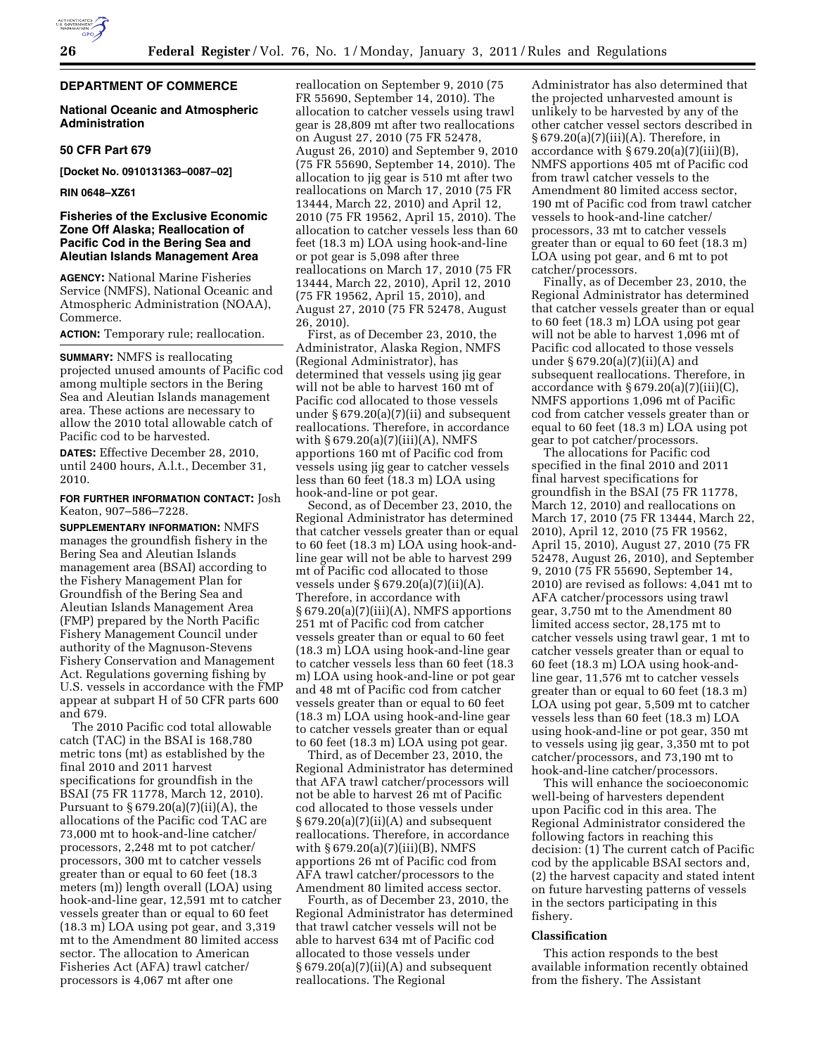# **DEPARTMENT OF COMMERCE**

## **National Oceanic and Atmospheric Administration**

## **50 CFR Part 679**

**[Docket No. 0910131363–0087–02]** 

#### **RIN 0648–XZ61**

# **Fisheries of the Exclusive Economic Zone Off Alaska; Reallocation of Pacific Cod in the Bering Sea and Aleutian Islands Management Area**

**AGENCY:** National Marine Fisheries Service (NMFS), National Oceanic and Atmospheric Administration (NOAA), Commerce.

**ACTION:** Temporary rule; reallocation.

**SUMMARY:** NMFS is reallocating projected unused amounts of Pacific cod among multiple sectors in the Bering Sea and Aleutian Islands management area. These actions are necessary to allow the 2010 total allowable catch of Pacific cod to be harvested.

**DATES:** Effective December 28, 2010, until 2400 hours, A.l.t., December 31, 2010.

### **FOR FURTHER INFORMATION CONTACT:** Josh Keaton, 907–586–7228.

**SUPPLEMENTARY INFORMATION:** NMFS manages the groundfish fishery in the Bering Sea and Aleutian Islands management area (BSAI) according to the Fishery Management Plan for Groundfish of the Bering Sea and Aleutian Islands Management Area (FMP) prepared by the North Pacific Fishery Management Council under authority of the Magnuson-Stevens Fishery Conservation and Management Act. Regulations governing fishing by U.S. vessels in accordance with the FMP appear at subpart H of 50 CFR parts 600 and 679.

The 2010 Pacific cod total allowable catch (TAC) in the BSAI is 168,780 metric tons (mt) as established by the final 2010 and 2011 harvest specifications for groundfish in the BSAI (75 FR 11778, March 12, 2010). Pursuant to § 679.20(a)(7)(ii)(A), the allocations of the Pacific cod TAC are 73,000 mt to hook-and-line catcher/ processors, 2,248 mt to pot catcher/ processors, 300 mt to catcher vessels greater than or equal to 60 feet (18.3 meters (m)) length overall (LOA) using hook-and-line gear, 12,591 mt to catcher vessels greater than or equal to 60 feet (18.3 m) LOA using pot gear, and 3,319 mt to the Amendment 80 limited access sector. The allocation to American Fisheries Act (AFA) trawl catcher/ processors is 4,067 mt after one

reallocation on September 9, 2010 (75 FR 55690, September 14, 2010). The allocation to catcher vessels using trawl gear is 28,809 mt after two reallocations on August 27, 2010 (75 FR 52478, August 26, 2010) and September 9, 2010 (75 FR 55690, September 14, 2010). The allocation to jig gear is 510 mt after two reallocations on March 17, 2010 (75 FR 13444, March 22, 2010) and April 12, 2010 (75 FR 19562, April 15, 2010). The allocation to catcher vessels less than 60 feet (18.3 m) LOA using hook-and-line or pot gear is 5,098 after three reallocations on March 17, 2010 (75 FR 13444, March 22, 2010), April 12, 2010 (75 FR 19562, April 15, 2010), and August 27, 2010 (75 FR 52478, August 26, 2010).

First, as of December 23, 2010, the Administrator, Alaska Region, NMFS (Regional Administrator), has determined that vessels using jig gear will not be able to harvest 160 mt of Pacific cod allocated to those vessels under § 679.20(a)(7)(ii) and subsequent reallocations. Therefore, in accordance with § 679.20(a)(7)(iii)(A), NMFS apportions 160 mt of Pacific cod from vessels using jig gear to catcher vessels less than 60 feet (18.3 m) LOA using hook-and-line or pot gear.

Second, as of December 23, 2010, the Regional Administrator has determined that catcher vessels greater than or equal to 60 feet (18.3 m) LOA using hook-andline gear will not be able to harvest 299 mt of Pacific cod allocated to those vessels under § 679.20(a)(7)(ii)(A). Therefore, in accordance with  $§ 679.20(a)(7)(iii)(A)$ , NMFS apportions 251 mt of Pacific cod from catcher vessels greater than or equal to 60 feet (18.3 m) LOA using hook-and-line gear to catcher vessels less than 60 feet (18.3 m) LOA using hook-and-line or pot gear and 48 mt of Pacific cod from catcher vessels greater than or equal to 60 feet (18.3 m) LOA using hook-and-line gear to catcher vessels greater than or equal to 60 feet (18.3 m) LOA using pot gear.

Third, as of December 23, 2010, the Regional Administrator has determined that AFA trawl catcher/processors will not be able to harvest 26 mt of Pacific cod allocated to those vessels under  $§ 679.20(a)(7)(ii)(A)$  and subsequent reallocations. Therefore, in accordance with § 679.20(a)(7)(iii)(B), NMFS apportions 26 mt of Pacific cod from AFA trawl catcher/processors to the Amendment 80 limited access sector.

Fourth, as of December 23, 2010, the Regional Administrator has determined that trawl catcher vessels will not be able to harvest 634 mt of Pacific cod allocated to those vessels under  $§ 679.20(a)(7)(ii)(A)$  and subsequent reallocations. The Regional

Administrator has also determined that the projected unharvested amount is unlikely to be harvested by any of the other catcher vessel sectors described in § 679.20(a)(7)(iii)(A). Therefore, in accordance with  $\S 679.20(a)(7)(iii)(B)$ , NMFS apportions 405 mt of Pacific cod from trawl catcher vessels to the Amendment 80 limited access sector, 190 mt of Pacific cod from trawl catcher vessels to hook-and-line catcher/ processors, 33 mt to catcher vessels greater than or equal to 60 feet (18.3 m) LOA using pot gear, and 6 mt to pot catcher/processors.

Finally, as of December 23, 2010, the Regional Administrator has determined that catcher vessels greater than or equal to 60 feet (18.3 m) LOA using pot gear will not be able to harvest 1,096 mt of Pacific cod allocated to those vessels under § 679.20(a)(7)(ii)(A) and subsequent reallocations. Therefore, in accordance with  $\S 679.20(a)(7)(iii)(C)$ , NMFS apportions 1,096 mt of Pacific cod from catcher vessels greater than or equal to 60 feet (18.3 m) LOA using pot gear to pot catcher/processors.

The allocations for Pacific cod specified in the final 2010 and 2011 final harvest specifications for groundfish in the BSAI (75 FR 11778, March 12, 2010) and reallocations on March 17, 2010 (75 FR 13444, March 22, 2010), April 12, 2010 (75 FR 19562, April 15, 2010), August 27, 2010 (75 FR 52478, August 26, 2010), and September 9, 2010 (75 FR 55690, September 14, 2010) are revised as follows: 4,041 mt to AFA catcher/processors using trawl gear, 3,750 mt to the Amendment 80 limited access sector, 28,175 mt to catcher vessels using trawl gear, 1 mt to catcher vessels greater than or equal to 60 feet (18.3 m) LOA using hook-andline gear, 11,576 mt to catcher vessels greater than or equal to 60 feet (18.3 m) LOA using pot gear, 5,509 mt to catcher vessels less than 60 feet (18.3 m) LOA using hook-and-line or pot gear, 350 mt to vessels using jig gear, 3,350 mt to pot catcher/processors, and 73,190 mt to hook-and-line catcher/processors.

This will enhance the socioeconomic well-being of harvesters dependent upon Pacific cod in this area. The Regional Administrator considered the following factors in reaching this decision: (1) The current catch of Pacific cod by the applicable BSAI sectors and, (2) the harvest capacity and stated intent on future harvesting patterns of vessels in the sectors participating in this fishery.

# **Classification**

This action responds to the best available information recently obtained from the fishery. The Assistant